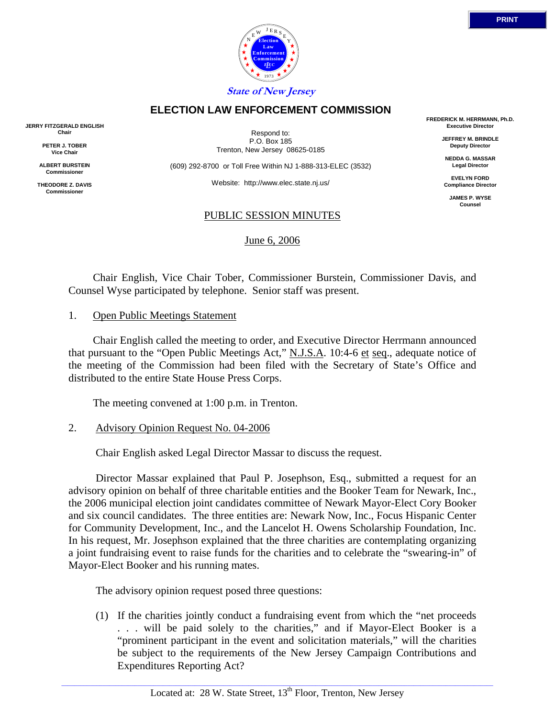



**State of New Jersey ELECTION LAW ENFORCEMENT COMMISSION**

**Election Law Enforcement Commission** *L E EC* 1973

Y E

 $N \frac{E}{E}$  E R S

**JERRY FITZGERALD ENGLISH Chair**

> **PETER J. TOBER Vice Chair**

**ALBERT BURSTEIN Commissioner** 

**THEODORE Z. DAVIS Commissione** 

Respond to: P.O. Box 185 Trenton, New Jersey 08625-0185

(609) 292-8700 or Toll Free Within NJ 1-888-313-ELEC (3532)

Website: http://www.elec.state.nj.us/

### PUBLIC SESSION MINUTES

June 6, 2006

**FREDERICK M. HERRMANN, Ph.D. Executive Director**

**PRINT**

**JEFFREY M. BRINDLE Deputy Director**

**NEDDA G. MASSAR Legal Director**

**EVELYN FORD Compliance Director**

**JAMES P. WYSE Counsel**

 Chair English, Vice Chair Tober, Commissioner Burstein, Commissioner Davis, and Counsel Wyse participated by telephone. Senior staff was present.

#### 1. Open Public Meetings Statement

 Chair English called the meeting to order, and Executive Director Herrmann announced that pursuant to the "Open Public Meetings Act," N.J.S.A. 10:4-6 et seq., adequate notice of the meeting of the Commission had been filed with the Secretary of State's Office and distributed to the entire State House Press Corps.

The meeting convened at 1:00 p.m. in Trenton.

## 2. Advisory Opinion Request No. 04-2006

Chair English asked Legal Director Massar to discuss the request.

 Director Massar explained that Paul P. Josephson, Esq., submitted a request for an advisory opinion on behalf of three charitable entities and the Booker Team for Newark, Inc., the 2006 municipal election joint candidates committee of Newark Mayor-Elect Cory Booker and six council candidates. The three entities are: Newark Now, Inc., Focus Hispanic Center for Community Development, Inc., and the Lancelot H. Owens Scholarship Foundation, Inc. In his request, Mr. Josephson explained that the three charities are contemplating organizing a joint fundraising event to raise funds for the charities and to celebrate the "swearing-in" of Mayor-Elect Booker and his running mates.

The advisory opinion request posed three questions:

(1) If the charities jointly conduct a fundraising event from which the "net proceeds . . . will be paid solely to the charities," and if Mayor-Elect Booker is a "prominent participant in the event and solicitation materials," will the charities be subject to the requirements of the New Jersey Campaign Contributions and Expenditures Reporting Act?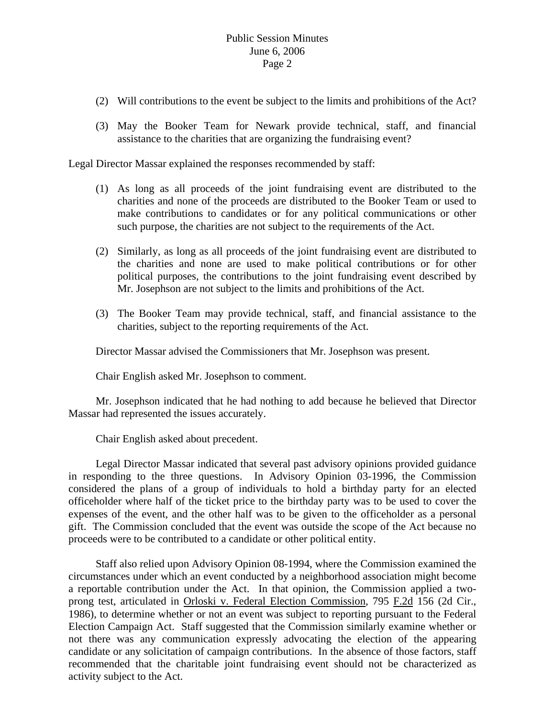# Public Session Minutes June 6, 2006 Page 2

- (2) Will contributions to the event be subject to the limits and prohibitions of the Act?
- (3) May the Booker Team for Newark provide technical, staff, and financial assistance to the charities that are organizing the fundraising event?

Legal Director Massar explained the responses recommended by staff:

- (1) As long as all proceeds of the joint fundraising event are distributed to the charities and none of the proceeds are distributed to the Booker Team or used to make contributions to candidates or for any political communications or other such purpose, the charities are not subject to the requirements of the Act.
- (2) Similarly, as long as all proceeds of the joint fundraising event are distributed to the charities and none are used to make political contributions or for other political purposes, the contributions to the joint fundraising event described by Mr. Josephson are not subject to the limits and prohibitions of the Act.
- (3) The Booker Team may provide technical, staff, and financial assistance to the charities, subject to the reporting requirements of the Act.

Director Massar advised the Commissioners that Mr. Josephson was present.

Chair English asked Mr. Josephson to comment.

 Mr. Josephson indicated that he had nothing to add because he believed that Director Massar had represented the issues accurately.

Chair English asked about precedent.

 Legal Director Massar indicated that several past advisory opinions provided guidance in responding to the three questions. In Advisory Opinion 03-1996, the Commission considered the plans of a group of individuals to hold a birthday party for an elected officeholder where half of the ticket price to the birthday party was to be used to cover the expenses of the event, and the other half was to be given to the officeholder as a personal gift. The Commission concluded that the event was outside the scope of the Act because no proceeds were to be contributed to a candidate or other political entity.

 Staff also relied upon Advisory Opinion 08-1994, where the Commission examined the circumstances under which an event conducted by a neighborhood association might become a reportable contribution under the Act. In that opinion, the Commission applied a twoprong test, articulated in Orloski v. Federal Election Commission, 795 F.2d 156 (2d Cir., 1986), to determine whether or not an event was subject to reporting pursuant to the Federal Election Campaign Act. Staff suggested that the Commission similarly examine whether or not there was any communication expressly advocating the election of the appearing candidate or any solicitation of campaign contributions. In the absence of those factors, staff recommended that the charitable joint fundraising event should not be characterized as activity subject to the Act.